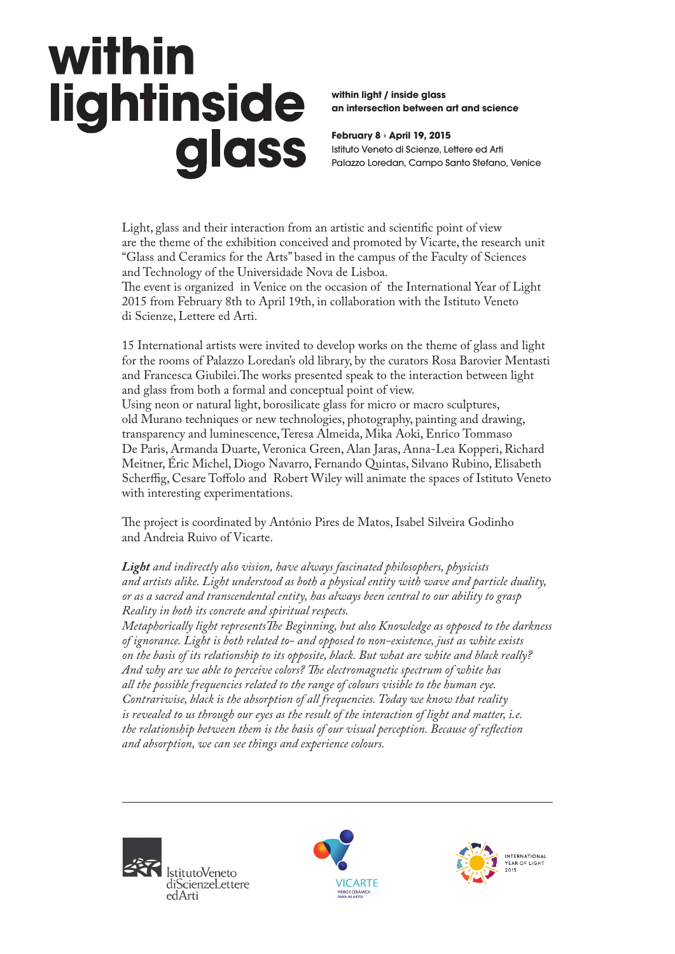### within lightinside glass

**within light / inside glass an intersection between art and science**

**February 8 › April 19, 2015** Istituto Veneto di Scienze, Lettere ed Arti Palazzo Loredan, Campo Santo Stefano, Venice

Light, glass and their interaction from an artistic and scientific point of view are the theme of the exhibition conceived and promoted by Vicarte, the research unit "Glass and Ceramics for the Arts" based in the campus of the Faculty of Sciences and Technology of the Universidade Nova de Lisboa.

The event is organized in Venice on the occasion of the International Year of Light 2015 from February 8th to April 19th, in collaboration with the Istituto Veneto di Scienze, Lettere ed Arti.

15 International artists were invited to develop works on the theme of glass and light for the rooms of Palazzo Loredan's old library, by the curators Rosa Barovier Mentasti and Francesca Giubilei.The works presented speak to the interaction between light and glass from both a formal and conceptual point of view.

Using neon or natural light, borosilicate glass for micro or macro sculptures, old Murano techniques or new technologies, photography, painting and drawing, transparency and luminescence, Teresa Almeida, Mika Aoki, Enrico Tommaso De Paris, Armanda Duarte, Veronica Green, Alan Jaras, Anna-Lea Kopperi, Richard Meitner, Éric Michel, Diogo Navarro, Fernando Quintas, Silvano Rubino, Elisabeth Scherffig, Cesare Toffolo and Robert Wiley will animate the spaces of Istituto Veneto with interesting experimentations.

The project is coordinated by António Pires de Matos, Isabel Silveira Godinho and Andreia Ruivo of Vicarte.

*Light and indirectly also vision, have always fascinated philosophers, physicists and artists alike. Light understood as both a physical entity with wave and particle duality, or as a sacred and transcendental entity, has always been central to our ability to grasp Reality in both its concrete and spiritual respects.* 

*Metaphorically light representsThe Beginning, but also Knowledge as opposed to the darkness of ignorance. Light is both related to- and opposed to non-existence, just as white exists on the basis of its relationship to its opposite, black. But what are white and black really? And why are we able to perceive colors? The electromagnetic spectrum of white has all the possible frequencies related to the range of colours visible to the human eye. Contrariwise, black is the absorption of all frequencies. Today we know that reality is revealed to us through our eyes as the result of the interaction of light and matter, i.e. the relationship between them is the basis of our visual perception. Because of reflection and absorption, we can see things and experience colours.* 





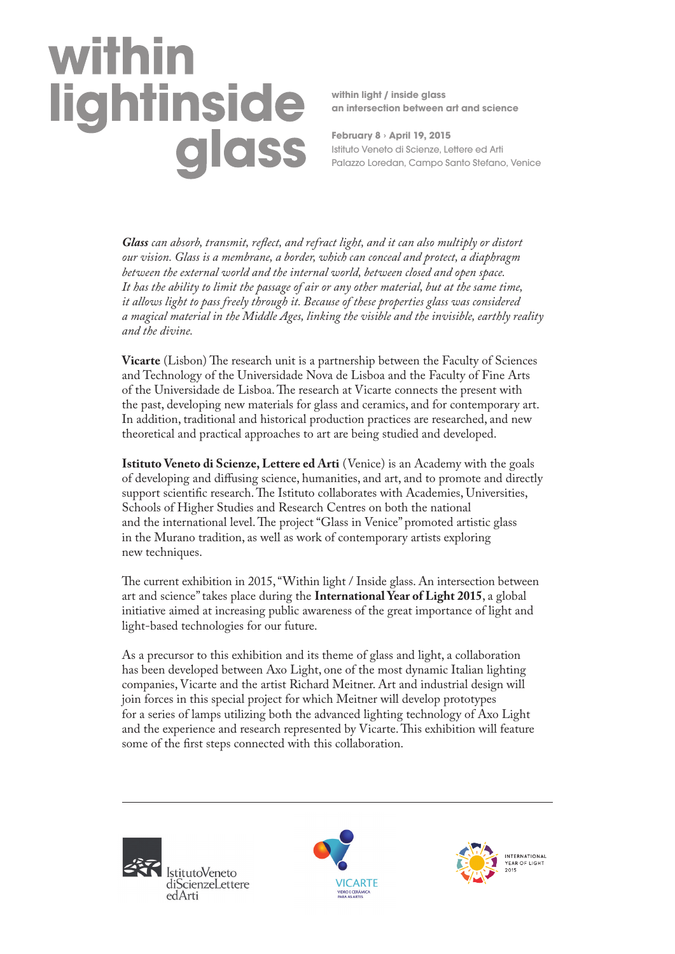# within lightinside<br>glass

**within light / inside glass an intersection between art and science**

**February 8 › April 19, 2015** Istituto Veneto di Scienze, Lettere ed Arti Palazzo Loredan, Campo Santo Stefano, Venice

*Glass can absorb, transmit, reflect, and refract light, and it can also multiply or distort our vision. Glass is a membrane, a border, which can conceal and protect, a diaphragm between the external world and the internal world, between closed and open space. It has the ability to limit the passage of air or any other material, but at the same time, it allows light to pass freely through it. Because of these properties glass was considered a magical material in the Middle Ages, linking the visible and the invisible, earthly reality and the divine.* 

**Vicarte** (Lisbon) The research unit is a partnership between the Faculty of Sciences and Technology of the Universidade Nova de Lisboa and the Faculty of Fine Arts of the Universidade de Lisboa. The research at Vicarte connects the present with the past, developing new materials for glass and ceramics, and for contemporary art. In addition, traditional and historical production practices are researched, and new theoretical and practical approaches to art are being studied and developed.

**Istituto Veneto di Scienze, Lettere ed Arti** (Venice) is an Academy with the goals of developing and diffusing science, humanities, and art, and to promote and directly support scientific research. The Istituto collaborates with Academies, Universities, Schools of Higher Studies and Research Centres on both the national and the international level. The project "Glass in Venice" promoted artistic glass in the Murano tradition, as well as work of contemporary artists exploring new techniques.

The current exhibition in 2015, "Within light / Inside glass. An intersection between art and science" takes place during the **International Year of Light 2015**, a global initiative aimed at increasing public awareness of the great importance of light and light-based technologies for our future.

As a precursor to this exhibition and its theme of glass and light, a collaboration has been developed between Axo Light, one of the most dynamic Italian lighting companies, Vicarte and the artist Richard Meitner. Art and industrial design will join forces in this special project for which Meitner will develop prototypes for a series of lamps utilizing both the advanced lighting technology of Axo Light and the experience and research represented by Vicarte. This exhibition will feature some of the first steps connected with this collaboration.